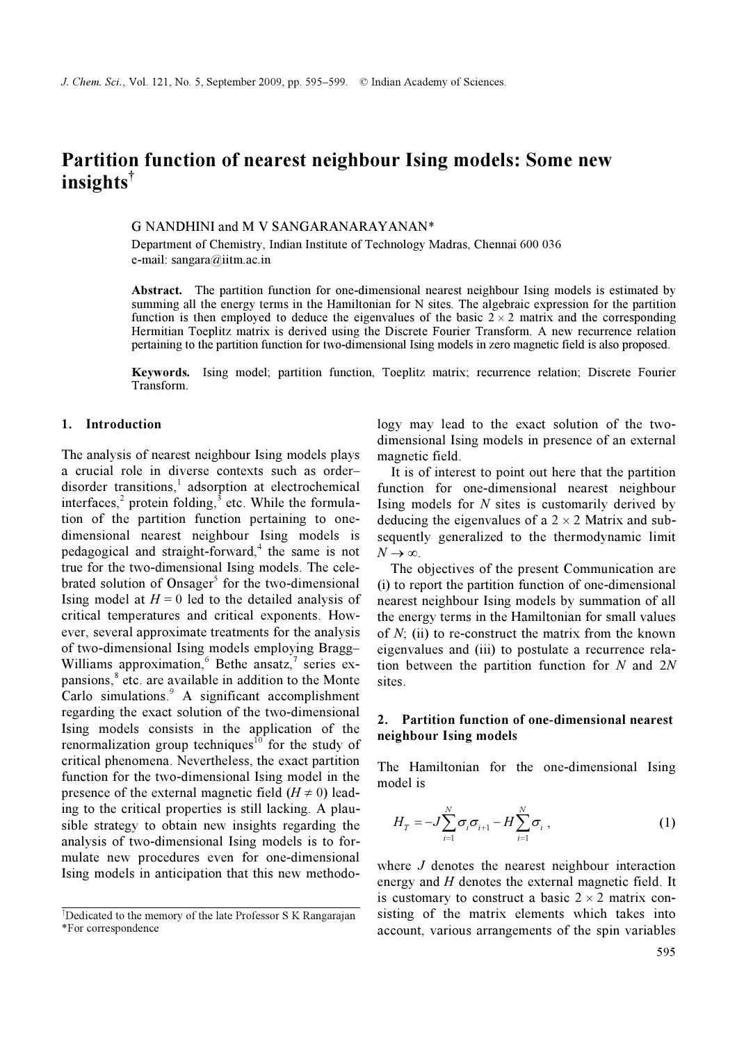## Partition function of nearest neighbour Ising models: Some new insights†

### G NANDHINI and M V SANGARANARAYANAN\*

Department of Chemistry, Indian Institute of Technology Madras, Chennai 600 036 e-mail: sangara@iitm.ac.in

Abstract. The partition function for one-dimensional nearest neighbour Ising models is estimated by summing all the energy terms in the Hamiltonian for N sites. The algebraic expression for the partition function is then employed to deduce the eigenvalues of the basic  $2 \times 2$  matrix and the corresponding Hermitian Toeplitz matrix is derived using the Discrete Fourier Transform. A new recurrence relation pertaining to the partition function for two-dimensional Ising models in zero magnetic field is also proposed.

Keywords. Ising model; partition function, Toeplitz matrix; recurrence relation; Discrete Fourier Transform.

### 1. Introduction

The analysis of nearest neighbour Ising models plays a crucial role in diverse contexts such as order– disorder transitions,<sup>1</sup> adsorption at electrochemical interfaces, $2$  protein folding,  $3$  etc. While the formulation of the partition function pertaining to onedimensional nearest neighbour Ising models is pedagogical and straight-forward,<sup>4</sup> the same is not true for the two-dimensional Ising models. The celebrated solution of Onsager<sup>5</sup> for the two-dimensional Ising model at  $H = 0$  led to the detailed analysis of critical temperatures and critical exponents. However, several approximate treatments for the analysis of two-dimensional Ising models employing Bragg– Williams approximation,  $6$  Bethe ansatz, series expansions,<sup>8</sup> etc. are available in addition to the Monte Carlo simulations.<sup>9</sup> A significant accomplishment regarding the exact solution of the two-dimensional Ising models consists in the application of the renormalization group techniques<sup>10</sup> for the study of critical phenomena. Nevertheless, the exact partition function for the two-dimensional Ising model in the presence of the external magnetic field ( $H \neq 0$ ) leading to the critical properties is still lacking. A plausible strategy to obtain new insights regarding the analysis of two-dimensional Ising models is to formulate new procedures even for one-dimensional Ising models in anticipation that this new methodology may lead to the exact solution of the twodimensional Ising models in presence of an external magnetic field.

 It is of interest to point out here that the partition function for one-dimensional nearest neighbour Ising models for  $N$  sites is customarily derived by deducing the eigenvalues of a  $2 \times 2$  Matrix and subsequently generalized to the thermodynamic limit  $N \rightarrow \infty$ .

 The objectives of the present Communication are (i) to report the partition function of one-dimensional nearest neighbour Ising models by summation of all the energy terms in the Hamiltonian for small values of  $N$ ; (ii) to re-construct the matrix from the known eigenvalues and (iii) to postulate a recurrence relation between the partition function for  $N$  and  $2N$ sites.

## 2. Partition function of one-dimensional nearest neighbour Ising models

The Hamiltonian for the one-dimensional Ising model is

$$
H_T = -J\sum_{i=1}^N \sigma_i \sigma_{i+1} - H\sum_{i=1}^N \sigma_i , \qquad (1)
$$

where *J* denotes the nearest neighbour interaction energy and  $H$  denotes the external magnetic field. It is customary to construct a basic  $2 \times 2$  matrix consisting of the matrix elements which takes into account, various arrangements of the spin variables

<sup>†</sup> Dedicated to the memory of the late Professor S K Rangarajan \*For correspondence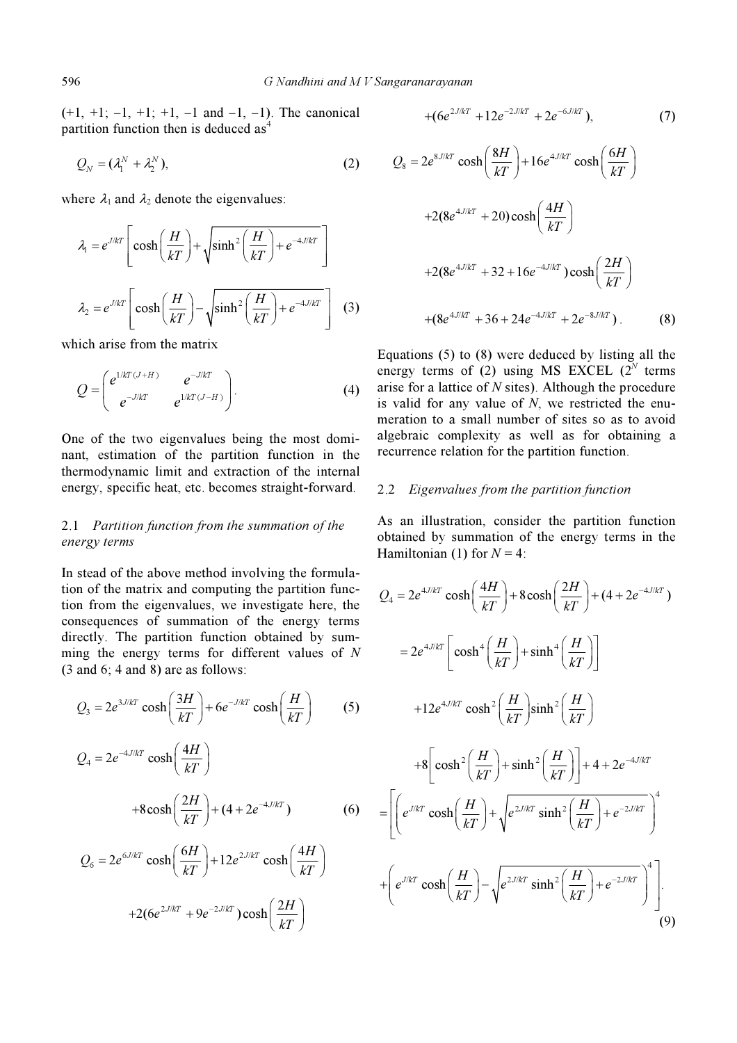$(+1, +1; -1, +1; +1, -1$  and  $-1, -1$ ). The canonical partition function then is deduced as<sup>4</sup>

$$
Q_N = (\lambda_1^N + \lambda_2^N), \qquad (2)
$$

where  $\lambda_1$  and  $\lambda_2$  denote the eigenvalues:

here 
$$
\lambda_1
$$
 and  $\lambda_2$  denote the eigenvalues:  
\n
$$
\lambda_1 = e^{J/kT} \left[ \cosh\left(\frac{H}{kT}\right) + \sqrt{\sinh^2\left(\frac{H}{kT}\right) + e^{-4J/kT}} \right]
$$
\n
$$
\lambda_2 = e^{J/kT} \left[ \cosh\left(\frac{H}{kT}\right) - \sqrt{\sinh^2\left(\frac{H}{kT}\right) + e^{-4J/kT}} \right] \quad (3)
$$

which arise from the matrix

$$
Q = \begin{pmatrix} e^{1/kT(J+H)} & e^{-J/kT} \\ e^{-J/kT} & e^{1/kT(J-H)} \end{pmatrix} . \tag{4}
$$

One of the two eigenvalues being the most dominant, estimation of the partition function in the thermodynamic limit and extraction of the internal energy, specific heat, etc. becomes straight-forward.

# 2.1 Partition function from the summation of the energy terms energy terms

In stead of the above method involving the formulation of the matrix and computing the partition function from the eigenvalues, we investigate here, the consequences of summation of the energy terms directly. The partition function obtained by sumthe energy terms for different values of N<br>
(3 and 6; 4 and 8) are as follows:<br>  $\frac{1}{2}$   $\frac{3J/K}{K}$   $\frac{1}{K}$   $\frac{3H}{K}$   $\frac{5J/K}{K}$   $\frac{1}{K}$   $\frac{1}{K}$   $\frac{1}{K}$   $\frac{1}{K}$   $\frac{1}{K}$   $\frac{1}{K}$   $\frac{1}{K}$   $\frac{1}{K}$   $\frac{1}{$ (3 and 6; 4 and 8) are as follows:

$$
Q_3 = 2e^{3J/kT} \cosh\left(\frac{3H}{kT}\right) + 6e^{-J/kT} \cosh\left(\frac{H}{kT}\right) \qquad (5)
$$

$$
Q_4 = 2e^{-4J/kT} \cosh\left(\frac{4H}{kT}\right)
$$

$$
+8\cosh\left(\frac{2H}{kT}\right) + (4 + 2e^{-4J/kT})
$$
(6)

$$
Q_6 = 2e^{6J/kT} \cosh\left(\frac{6H}{kT}\right) + 12e^{2J/kT} \cosh\left(\frac{4H}{kT}\right)
$$

$$
+2(6e^{2J/kT} + 9e^{-2J/kT}) \cosh\left(\frac{2H}{kT}\right)
$$

Sangaranarayanan  
+
$$
(6e^{2J/kT} + 12e^{-2J/kT} + 2e^{-6J/kT}),
$$
 (7)

$$
Q_8 = 2e^{8J/kT} \cosh\left(\frac{8H}{kT}\right) + 16e^{4J/kT} \cosh\left(\frac{6H}{kT}\right)
$$
  
+2(8e^{4J/kT} + 20) \cosh\left(\frac{4H}{kT}\right)  
+2(8e^{4J/kT} + 32 + 16e^{-4J/kT}) \cosh\left(\frac{2H}{kT}\right)  
+ (8e^{4J/kT} + 36 + 24e^{-4J/kT} + 2e^{-8J/kT}). (8)

Equations (5) to (8) were deduced by listing all the energy terms of (2) using MS EXCEL ( $2^N$  terms arise for a lattice of  $N$  sites). Although the procedure is valid for any value of  $N$ , we restricted the enumeration to a small number of sites so as to avoid algebraic complexity as well as for obtaining a recurrence relation for the partition function.

### 2.2 Eigenvalues from the partition function

As an illustration, consider the partition function obtained by summation of the energy terms in the<br>Hamiltonian (1) for  $N = 4$ :<br> $\frac{2H}{\sqrt{4H}}$  +  $\frac{(4H)}{(4H + 2)^{-4J/kT}}$ Hamiltonian (1) for  $N = 4$ :

$$
Q_4 = 2e^{4J/kT} \cosh\left(\frac{4H}{kT}\right) + 8\cosh\left(\frac{2H}{kT}\right) + (4 + 2e^{-4J/kT})
$$
  
\n
$$
= 2e^{4J/kT} \left[\cosh^4\left(\frac{H}{kT}\right) + \sinh^4\left(\frac{H}{kT}\right)\right]
$$
  
\n
$$
+ 12e^{4J/kT} \cosh^2\left(\frac{H}{kT}\right) \sinh^2\left(\frac{H}{kT}\right)
$$
  
\n
$$
+ 8\left[\cosh^2\left(\frac{H}{kT}\right) + \sinh^2\left(\frac{H}{kT}\right)\right] + 4 + 2e^{-4J/kT}
$$
  
\n
$$
= \left[\left(e^{J/kT} \cosh\left(\frac{H}{kT}\right) + \sqrt{e^{2J/kT} \sinh^2\left(\frac{H}{kT}\right) + e^{-2J/kT}}\right)^4
$$
  
\n
$$
+ \left(e^{J/kT} \cosh\left(\frac{H}{kT}\right) - \sqrt{e^{2J/kT} \sinh^2\left(\frac{H}{kT}\right) + e^{-2J/kT}}\right)^4\right].
$$
  
\n(9)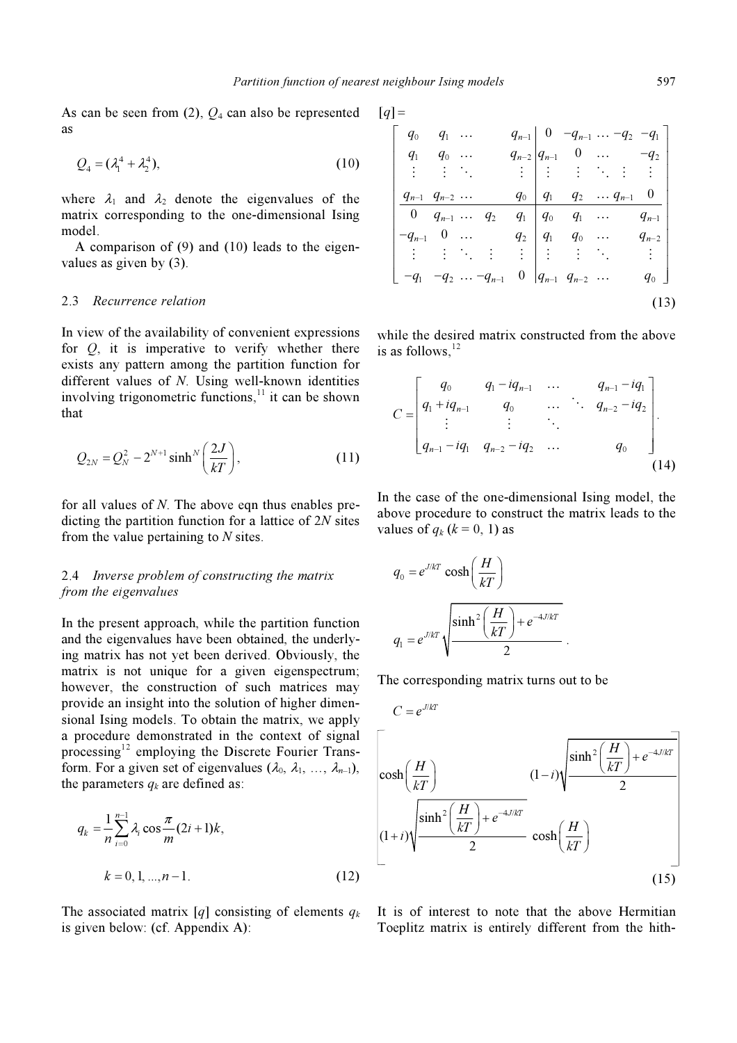As can be seen from  $(2)$ ,  $Q_4$  can also be represented as

$$
Q_4 = (\lambda_1^4 + \lambda_2^4), \tag{10}
$$

where  $\lambda_1$  and  $\lambda_2$  denote the eigenvalues of the matrix corresponding to the one-dimensional Ising model.

 A comparison of (9) and (10) leads to the eigenvalues as given by (3).

#### 2.3 Recurrence relation

In view of the availability of convenient expressions for  $Q$ , it is imperative to verify whether there exists any pattern among the partition function for different values of N. Using well-known identities involving trigonometric functions, $11$  it can be shown that

$$
Q_{2N} = Q_N^2 - 2^{N+1} \sinh^N \left(\frac{2J}{kT}\right),
$$
 (11)

for all values of  $N$ . The above eqn thus enables predicting the partition function for a lattice of 2N sites from the value pertaining to  $N$  sites.

# 2.4 Inverse problem of constructing the matrix from the eigenvalues from the eigenvalues of  $e$

In the present approach, while the partition function and the eigenvalues have been obtained, the underlying matrix has not yet been derived. Obviously, the matrix is not unique for a given eigenspectrum; however, the construction of such matrices may provide an insight into the solution of higher dimensional Ising models. To obtain the matrix, we apply a procedure demonstrated in the context of signal processing<sup>12</sup> employing the Discrete Fourier Transform. For a given set of eigenvalues  $(\lambda_0, \lambda_1, ..., \lambda_{n-1}),$ the parameters  $q_k$  are defined as:

$$
q_{k} = \frac{1}{n} \sum_{i=0}^{n-1} \lambda_{i} \cos \frac{\pi}{m} (2i+1)k,
$$
  

$$
k = 0, 1, ..., n-1.
$$
 (12)

The associated matrix [q] consisting of elements  $q_k$ is given below: (cf. Appendix A):

$$
[q] =
$$

*t* neighbour Ising models  
\n
$$
[q]
$$
 =  
\n $\begin{bmatrix}\nq_0 & q_1 & \cdots & q_{n-1} & 0 & -q_{n-1} & \cdots & -q_2 & -q_1 \\
q_1 & q_0 & \cdots & q_{n-2} & q_{n-1} & 0 & \cdots & -q_2 \\
\vdots & \vdots & \ddots & \vdots & \vdots & \vdots & \ddots & \vdots & \vdots \\
q_{n-1} & q_{n-2} & \cdots & q_0 & q_1 & q_2 & \cdots & q_{n-1} & 0 \\
0 & q_{n-1} & \cdots & q_2 & q_1 & q_0 & q_1 & \cdots & q_{n-1} \\
-q_{n-1} & 0 & \cdots & q_2 & q_1 & q_0 & \cdots & q_{n-2} \\
\vdots & \vdots & \ddots & \vdots & \vdots & \vdots & \ddots & \vdots \\
-q_1 & -q_2 & \cdots & -q_{n-1} & 0 & q_{n-1} & q_{n-2} & \cdots & q_0\n\end{bmatrix}$ \n(13)

while the desired matrix constructed from the above<br>  $\frac{1}{2}$ is as follows, $^{12}$ 

is as follows,<sup>12</sup>  
\n
$$
C = \begin{bmatrix} q_0 & q_1 - iq_{n-1} & \cdots & q_{n-1} - iq_1 \\ q_1 + iq_{n-1} & q_0 & \cdots & q_{n-2} - iq_2 \\ \vdots & \vdots & \ddots & \vdots \\ q_{n-1} - iq_1 & q_{n-2} - iq_2 & \cdots & q_0 \end{bmatrix}.
$$
\n(14)

In the case of the one-dimensional Ising model, the above procedure to construct the matrix leads to the values of  $q_k$  ( $k = 0, 1$ ) as

$$
q_0 = e^{J/kT} \cosh\left(\frac{H}{kT}\right)
$$

$$
q_1 = e^{J/kT} \sqrt{\frac{\sinh^2\left(\frac{H}{kT}\right) + e^{-4J/kT}}{2}}.
$$

The corresponding matrix turns out to be

$$
C = e^{J/kT}
$$
\n
$$
\begin{bmatrix}\n\cosh\left(\frac{H}{kT}\right) & (1-i)\sqrt{\frac{\sinh^2\left(\frac{H}{kT}\right) + e^{-4J/kT}}{2}} \\
\sinh^2\left(\frac{H}{kT}\right) + e^{-4J/kT} & \cosh\left(\frac{H}{kT}\right)\n\end{bmatrix}
$$
\n
$$
(1-1)\sqrt{\frac{\sinh^2\left(\frac{H}{kT}\right) + e^{-4J/kT}}{2}} \cosh\left(\frac{H}{kT}\right)
$$
\n
$$
(15)
$$

It is of interest to note that the above Hermitian Toeplitz matrix is entirely different from the hith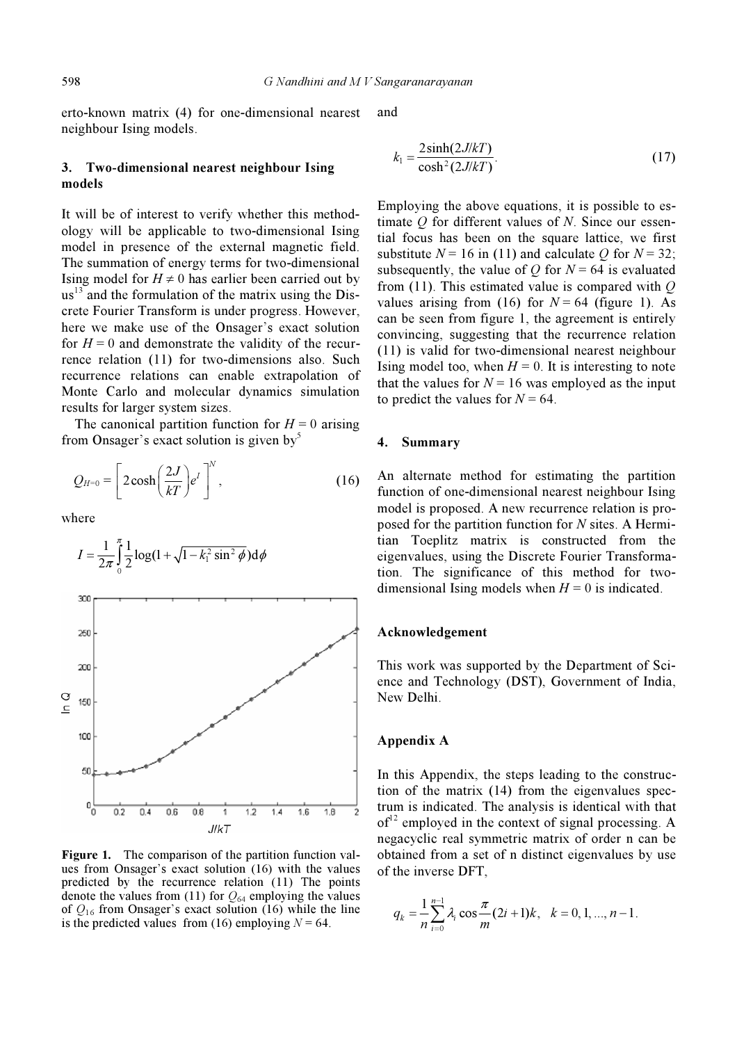598 G Nandhini and M V Sangaranarayanan

erto-known matrix (4) for one-dimensional nearest neighbour Ising models.

### 3. Two-dimensional nearest neighbour Ising models

It will be of interest to verify whether this methodology will be applicable to two-dimensional Ising model in presence of the external magnetic field. The summation of energy terms for two-dimensional Ising model for  $H \neq 0$  has earlier been carried out by  $us<sup>13</sup>$  and the formulation of the matrix using the Discrete Fourier Transform is under progress. However, here we make use of the Onsager's exact solution for  $H = 0$  and demonstrate the validity of the recurrence relation (11) for two-dimensions also. Such recurrence relations can enable extrapolation of Monte Carlo and molecular dynamics simulation results for larger system sizes.

The canonical partition function for  $H = 0$  arising from Onsager's exact solution is given by<sup>5</sup>

$$
Q_{H=0} = \left[2\cosh\left(\frac{2J}{kT}\right)e^I\right]^N, \qquad (16)
$$

where



Figure 1. The comparison of the partition function values from Onsager's exact solution (16) with the values predicted by the recurrence relation (11) The points denote the values from (11) for  $Q_{64}$  employing the values of  $Q_{16}$  from Onsager's exact solution (16) while the line is the predicted values from (16) employing  $N = 64$ .

and

$$
k_1 = \frac{2\sinh(2J/kT)}{\cosh^2(2J/kT)}.
$$
 (17)

Employing the above equations, it is possible to estimate  $O$  for different values of  $N$ . Since our essential focus has been on the square lattice, we first substitute  $N = 16$  in (11) and calculate O for  $N = 32$ ; subsequently, the value of Q for  $N = 64$  is evaluated from (11). This estimated value is compared with  $Q$ values arising from (16) for  $N = 64$  (figure 1). As can be seen from figure 1, the agreement is entirely convincing, suggesting that the recurrence relation (11) is valid for two-dimensional nearest neighbour Ising model too, when  $H = 0$ . It is interesting to note that the values for  $N = 16$  was employed as the input to predict the values for  $N = 64$ .

### 4. Summary

An alternate method for estimating the partition function of one-dimensional nearest neighbour Ising model is proposed. A new recurrence relation is proposed for the partition function for N sites. A Hermitian Toeplitz matrix is constructed from the eigenvalues, using the Discrete Fourier Transformation. The significance of this method for twodimensional Ising models when  $H = 0$  is indicated.

#### Acknowledgement

This work was supported by the Department of Science and Technology (DST), Government of India, New Delhi.

## Appendix A

In this Appendix, the steps leading to the construction of the matrix (14) from the eigenvalues spectrum is indicated. The analysis is identical with that  $of<sup>12</sup>$  employed in the context of signal processing. A negacyclic real symmetric matrix of order n can be obtained from a set of n distinct eigenvalues by use of the inverse DFT,

$$
q_k = \frac{1}{n} \sum_{i=0}^{n-1} \lambda_i \cos \frac{\pi}{m} (2i+1)k, \quad k = 0, 1, ..., n-1.
$$